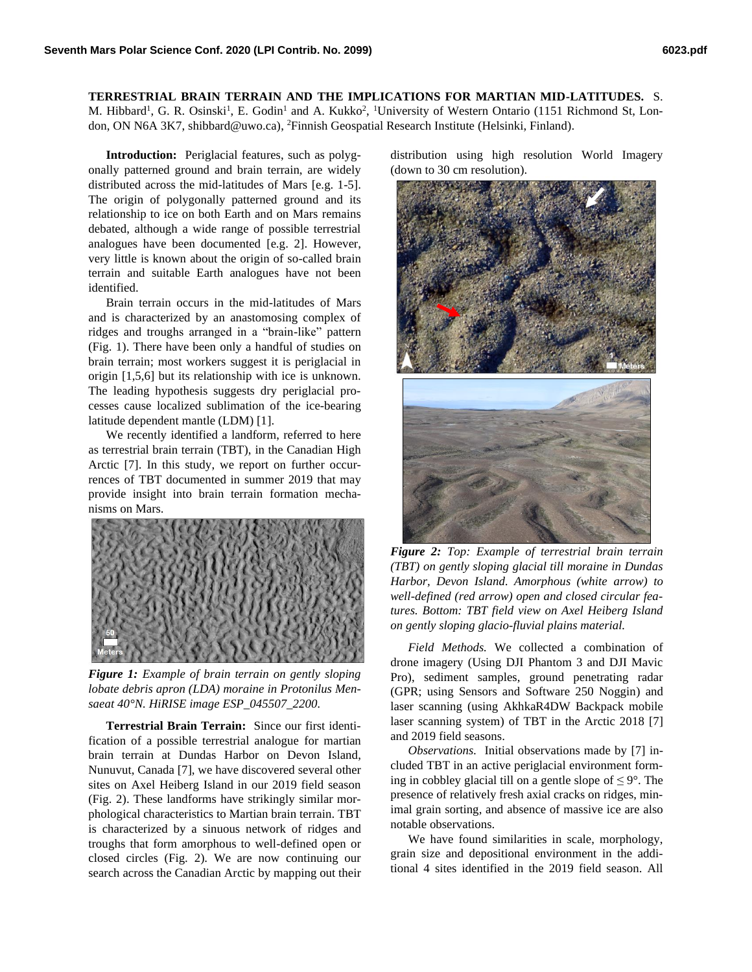**TERRESTRIAL BRAIN TERRAIN AND THE IMPLICATIONS FOR MARTIAN MID-LATITUDES.** S.

M. Hibbard<sup>1</sup>, G. R. Osinski<sup>1</sup>, E. Godin<sup>1</sup> and A. Kukko<sup>2</sup>, <sup>1</sup>University of Western Ontario (1151 Richmond St, London, ON N6A 3K7, shibbard@uwo.ca), <sup>2</sup>Finnish Geospatial Research Institute (Helsinki, Finland).

**Introduction:** Periglacial features, such as polygonally patterned ground and brain terrain, are widely distributed across the mid-latitudes of Mars [e.g. 1-5]. The origin of polygonally patterned ground and its relationship to ice on both Earth and on Mars remains debated, although a wide range of possible terrestrial analogues have been documented [e.g. 2]. However, very little is known about the origin of so-called brain terrain and suitable Earth analogues have not been identified.

Brain terrain occurs in the mid-latitudes of Mars and is characterized by an anastomosing complex of ridges and troughs arranged in a "brain-like" pattern (Fig. 1). There have been only a handful of studies on brain terrain; most workers suggest it is periglacial in origin [1,5,6] but its relationship with ice is unknown. The leading hypothesis suggests dry periglacial processes cause localized sublimation of the ice-bearing latitude dependent mantle (LDM) [1].

We recently identified a landform, referred to here as terrestrial brain terrain (TBT), in the Canadian High Arctic [7]. In this study, we report on further occurrences of TBT documented in summer 2019 that may provide insight into brain terrain formation mechanisms on Mars.



*Figure 1: Example of brain terrain on gently sloping lobate debris apron (LDA) moraine in Protonilus Mensaeat 40°N. HiRISE image ESP\_045507\_2200.*

**Terrestrial Brain Terrain:** Since our first identification of a possible terrestrial analogue for martian brain terrain at Dundas Harbor on Devon Island, Nunuvut, Canada [7], we have discovered several other sites on Axel Heiberg Island in our 2019 field season (Fig. 2). These landforms have strikingly similar morphological characteristics to Martian brain terrain. TBT is characterized by a sinuous network of ridges and troughs that form amorphous to well-defined open or closed circles (Fig. 2). We are now continuing our search across the Canadian Arctic by mapping out their

distribution using high resolution World Imagery (down to 30 cm resolution).



*Figure 2: Top: Example of terrestrial brain terrain (TBT) on gently sloping glacial till moraine in Dundas Harbor, Devon Island. Amorphous (white arrow) to well-defined (red arrow) open and closed circular features. Bottom: TBT field view on Axel Heiberg Island on gently sloping glacio-fluvial plains material.*

*Field Methods.* We collected a combination of drone imagery (Using DJI Phantom 3 and DJI Mavic Pro), sediment samples, ground penetrating radar (GPR; using Sensors and Software 250 Noggin) and laser scanning (using AkhkaR4DW Backpack mobile laser scanning system) of TBT in the Arctic 2018 [7] and 2019 field seasons.

*Observations.* Initial observations made by [7] included TBT in an active periglacial environment forming in cobbley glacial till on a gentle slope of  $\leq 9^{\circ}$ . The presence of relatively fresh axial cracks on ridges, minimal grain sorting, and absence of massive ice are also notable observations.

We have found similarities in scale, morphology, grain size and depositional environment in the additional 4 sites identified in the 2019 field season. All